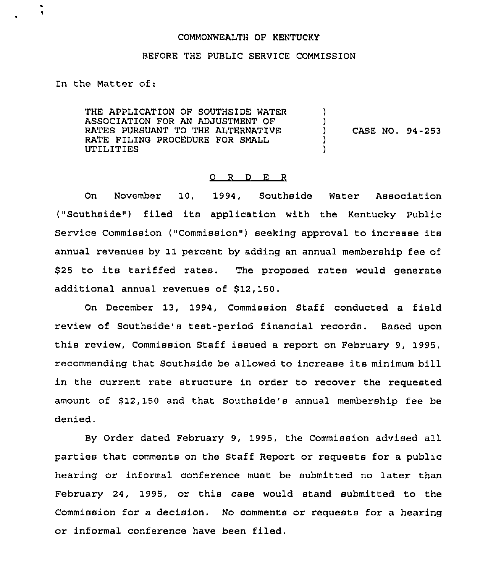## COMMONWEALTH OF KENTUCKY

## BEFORE THE PUBLIC SERVICE COMMISSION

In the Matter of:

THE APPLICATION OF SOUTHSIDE WATER ASSOCIATION FOR AN ADJUSTMENT OF RATES PURSUANT TO THE ALTERNATIVE RATE FILING PROCEDURE FOR SMALL UTILITIES

) CASE NO. 94-253

)  $\left\{ \right\}$ 

) )

## 0 <sup>R</sup> <sup>D</sup> E <sup>R</sup>

On November 10, 1994, Southside Water Association ("Southside") filed its application with the Kentucky Public Service Commission ("Commission" ) seeking approval to increase its annual revenues by 11 percent by adding an annual membership fee of \$ <sup>25</sup> to its tariffed rates. The proposed rates would generate additional annual revenues of \$12,150.

On December 13, 1994, Commission Staff conducted a field review of Southside's test-period financial records. Based upon this review, Commission Staff issued a report on February 9, 1995, recommending that Southside be allowed to increase its minimum bill in the current rate structure in order to recover the requested amount of \$12,150 and that Southside's annual membership fee be denied.

By Order dated February 9, 1995, the Commission advised all parties that comments on the Staff Report or requests for a public hearing or informal conference must be submitted no later than February 24, 1995, or this case would stand submitted to the Commission for a decision. No comments or requests for a hearing or informal conference have been filed.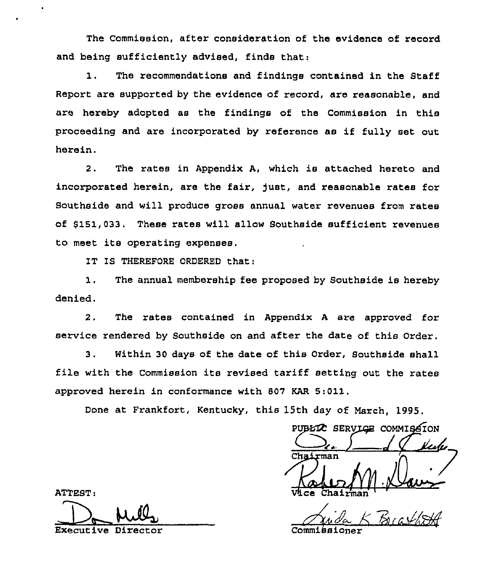The Commission, after consideration of the evidence of record and being sufficiently advised, finds that:

1. The recommendations and findings contained in the staff Report are supported by the evidence of record, are reasonable, and are hereby adopted as the findings of the Commission in this proceeding and are incorporated by reference as if fully set out herein.

2. The rates in Appendix A, which is attached hereto and incorporated herein, are the fair, fust, and reasonable rates for Southside and will produce gross annual water revenues from rates of \$151,033. These rates will allow Southside sufficient revenues to meet its operating expenses.

IT IS THEREFORE ORDERED that:

1. The annual membership fee proposed by Southside is hereby denied.

2, The rates contained in Appendix <sup>A</sup> are approved for service rendered by Southside on and after the date of this Order.

3. Within 30 days of the date of this Order, Southside shall file with the Commission its revised tariff setting out the rates approved herein in conformance with 807 KAR 8:011.

Done at Frankfort, Kentucky, this 15th day of March, 1995.

PUBLIC SERVICE COMMISSION <u>le le</u> Chairman  $\overline{\text{V}}$ ice Chairma

Breathth

ATTEST:

Executive Director Commiksioner